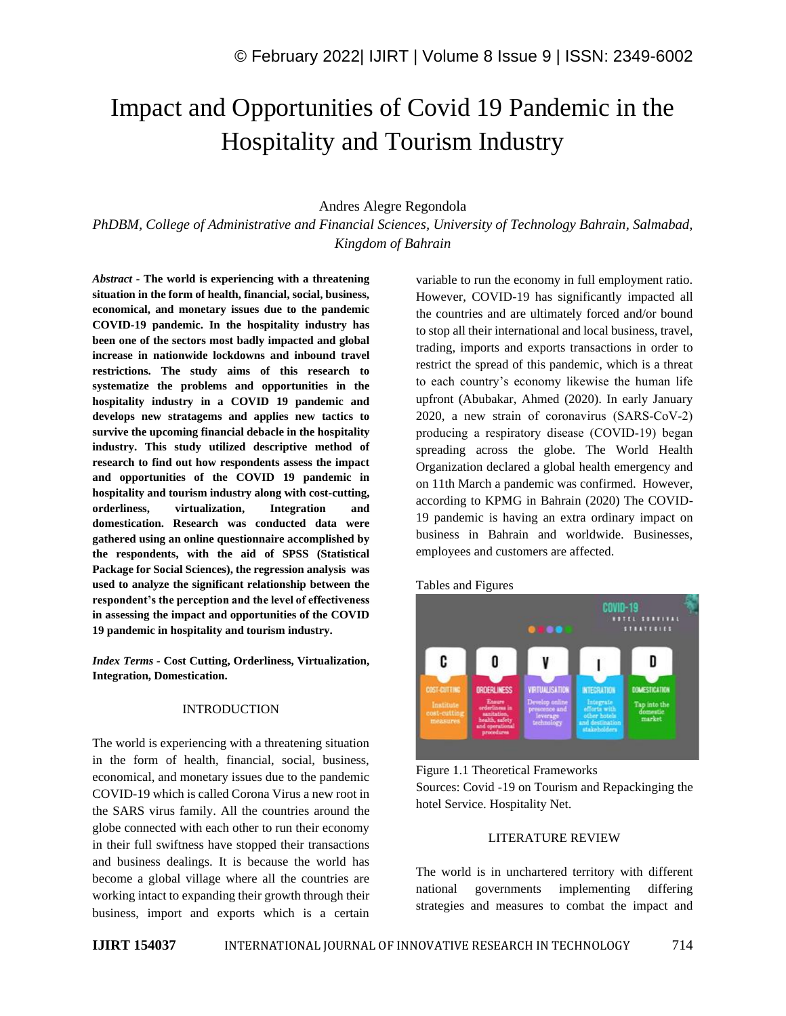# Impact and Opportunities of Covid 19 Pandemic in the Hospitality and Tourism Industry

## Andres Alegre Regondola

*PhDBM, College of Administrative and Financial Sciences, University of Technology Bahrain, Salmabad, Kingdom of Bahrain*

*Abstract -* **The world is experiencing with a threatening situation in the form of health, financial, social, business, economical, and monetary issues due to the pandemic COVID-19 pandemic. In the hospitality industry has been one of the sectors most badly impacted and global increase in nationwide lockdowns and inbound travel restrictions. The study aims of this research to systematize the problems and opportunities in the hospitality industry in a COVID 19 pandemic and develops new stratagems and applies new tactics to survive the upcoming financial debacle in the hospitality industry. This study utilized descriptive method of research to find out how respondents assess the impact and opportunities of the COVID 19 pandemic in hospitality and tourism industry along with cost-cutting, orderliness, virtualization, Integration and domestication. Research was conducted data were gathered using an online questionnaire accomplished by the respondents, with the aid of SPSS (Statistical Package for Social Sciences), the regression analysis was used to analyze the significant relationship between the respondent's the perception and the level of effectiveness in assessing the impact and opportunities of the COVID 19 pandemic in hospitality and tourism industry.** 

*Index Terms -* **Cost Cutting, Orderliness, Virtualization, Integration, Domestication.**

#### INTRODUCTION

The world is experiencing with a threatening situation in the form of health, financial, social, business, economical, and monetary issues due to the pandemic COVID-19 which is called Corona Virus a new root in the SARS virus family. All the countries around the globe connected with each other to run their economy in their full swiftness have stopped their transactions and business dealings. It is because the world has become a global village where all the countries are working intact to expanding their growth through their business, import and exports which is a certain variable to run the economy in full employment ratio. However, COVID-19 has significantly impacted all the countries and are ultimately forced and/or bound to stop all their international and local business, travel, trading, imports and exports transactions in order to restrict the spread of this pandemic, which is a threat to each country's economy likewise the human life upfront (Abubakar, Ahmed (2020). In early January 2020, a new strain of coronavirus (SARS‐CoV‐2) producing a respiratory disease (COVID‐19) began spreading across the globe. The World Health Organization declared a global health emergency and on 11th March a pandemic was confirmed. However, according to KPMG in Bahrain (2020) The COVID-19 pandemic is having an extra ordinary impact on business in Bahrain and worldwide. Businesses, employees and customers are affected.

#### Tables and Figures



Figure 1.1 Theoretical Frameworks Sources: Covid -19 on Tourism and Repackinging the hotel Service. Hospitality Net.

#### LITERATURE REVIEW

The world is in unchartered territory with different national governments implementing differing strategies and measures to combat the impact and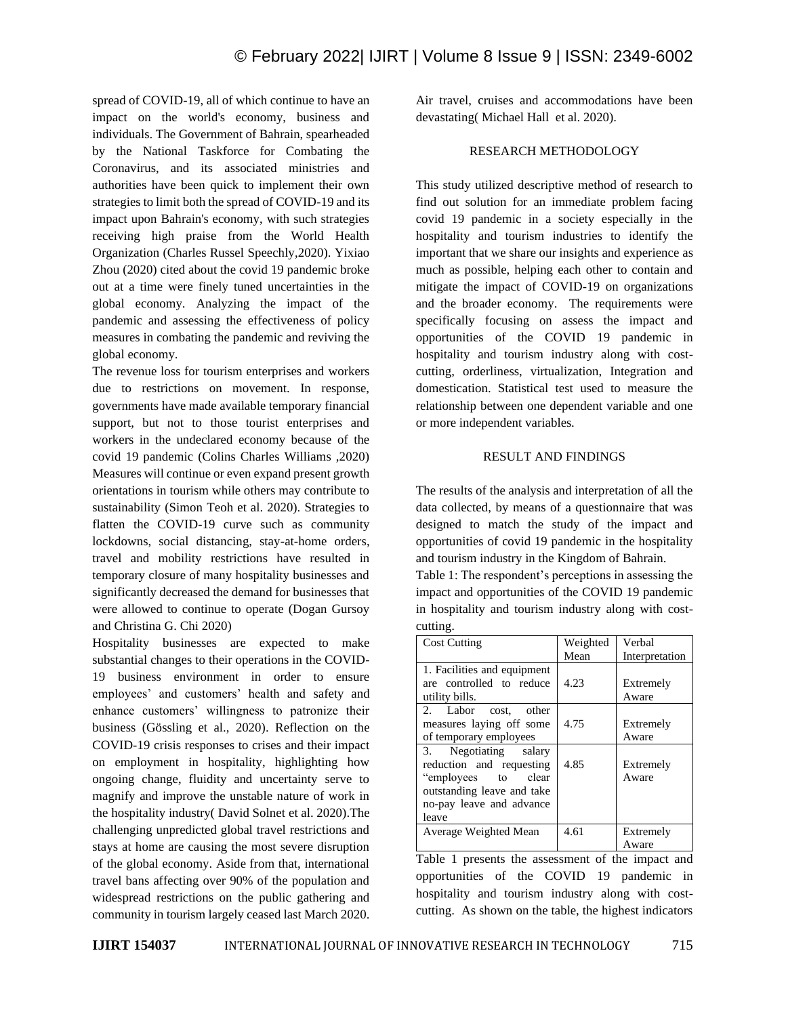spread of COVID-19, all of which continue to have an impact on the world's economy, business and individuals. The Government of Bahrain, spearheaded by the National Taskforce for Combating the Coronavirus, and its associated ministries and authorities have been quick to implement their own strategies to limit both the spread of COVID-19 and its impact upon Bahrain's economy, with such strategies receiving high praise from the World Health Organization (Charles Russel Speechly,2020). Yixiao Zhou (2020) cited about the covid 19 pandemic broke out at a time were finely tuned uncertainties in the global economy. Analyzing the impact of the pandemic and assessing the effectiveness of policy measures in combating the pandemic and reviving the global economy.

The revenue loss for tourism enterprises and workers due to restrictions on movement. In response, governments have made available temporary financial support, but not to those tourist enterprises and workers in the undeclared economy because of the covid 19 pandemic (Colins Charles Williams ,2020) Measures will continue or even expand present growth orientations in tourism while others may contribute to sustainability (Simon Teoh et al. 2020). Strategies to flatten the COVID-19 curve such as community lockdowns, social distancing, stay-at-home orders, travel and mobility restrictions have resulted in temporary closure of many hospitality businesses and significantly decreased the demand for businesses that were allowed to continue to operate (Dogan Gursoy and Christina G. Chi 2020)

Hospitality businesses are expected to make substantial changes to their operations in the COVID-19 business environment in order to ensure employees' and customers' health and safety and enhance customers' willingness to patronize their business (Gössling et al., 2020). Reflection on the COVID-19 crisis responses to crises and their impact on employment in hospitality, highlighting how ongoing change, fluidity and uncertainty serve to magnify and improve the unstable nature of work in the hospitality industry( David Solnet et al. 2020).The challenging unpredicted global travel restrictions and stays at home are causing the most severe disruption of the global economy. Aside from that, international travel bans affecting over 90% of the population and widespread restrictions on the public gathering and community in tourism largely ceased last March 2020. Air travel, cruises and accommodations have been devastating( Michael Hall et al. 2020).

## RESEARCH METHODOLOGY

This study utilized descriptive method of research to find out solution for an immediate problem facing covid 19 pandemic in a society especially in the hospitality and tourism industries to identify the important that we share our insights and experience as much as possible, helping each other to contain and mitigate the impact of COVID-19 on organizations and the broader economy. The requirements were specifically focusing on assess the impact and opportunities of the COVID 19 pandemic in hospitality and tourism industry along with costcutting, orderliness, virtualization, Integration and domestication. Statistical test used to measure the relationship between one dependent variable and one or more independent variables.

## RESULT AND FINDINGS

The results of the analysis and interpretation of all the data collected, by means of a questionnaire that was designed to match the study of the impact and opportunities of covid 19 pandemic in the hospitality and tourism industry in the Kingdom of Bahrain.

Table 1: The respondent's perceptions in assessing the impact and opportunities of the COVID 19 pandemic in hospitality and tourism industry along with costcutting.

| <b>Cost Cutting</b>                                                                                                                         | Weighted<br>Mean | Verbal<br>Interpretation |
|---------------------------------------------------------------------------------------------------------------------------------------------|------------------|--------------------------|
| 1. Facilities and equipment<br>are controlled to reduce<br>utility bills.                                                                   | 4.23             | Extremely<br>Aware       |
| 2. Labor cost, other<br>measures laying off some<br>of temporary employees                                                                  | 4.75             | Extremely<br>Aware       |
| 3. Negotiating salary<br>reduction and requesting<br>"employees to clear<br>outstanding leave and take<br>no-pay leave and advance<br>leave | 4.85             | Extremely<br>Aware       |
| Average Weighted Mean                                                                                                                       | 4.61             | Extremely<br>Aware       |

Table 1 presents the assessment of the impact and opportunities of the COVID 19 pandemic in hospitality and tourism industry along with costcutting. As shown on the table, the highest indicators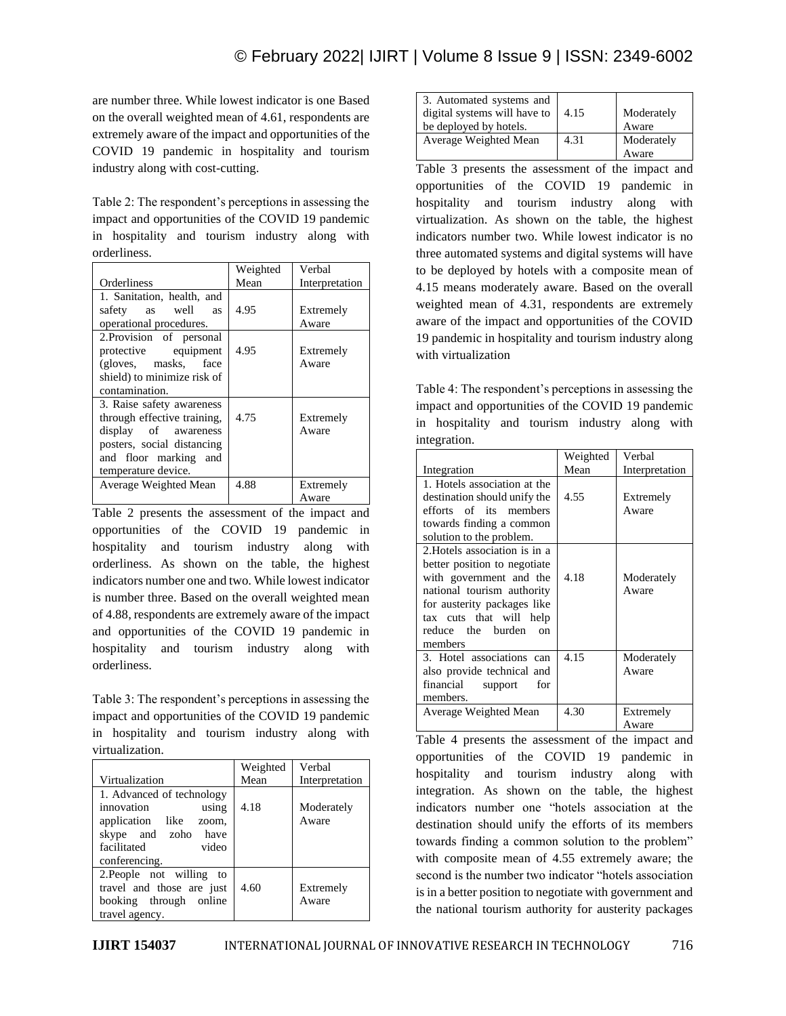are number three. While lowest indicator is one Based on the overall weighted mean of 4.61, respondents are extremely aware of the impact and opportunities of the COVID 19 pandemic in hospitality and tourism industry along with cost-cutting.

Table 2: The respondent's perceptions in assessing the impact and opportunities of the COVID 19 pandemic in hospitality and tourism industry along with orderliness.

|                             | Weighted | Verbal         |
|-----------------------------|----------|----------------|
| Orderliness                 | Mean     | Interpretation |
| 1. Sanitation, health, and  |          |                |
| safety as well as           | 4.95     | Extremely      |
| operational procedures.     |          | Aware          |
| 2. Provision of personal    |          |                |
| protective equipment        | 4.95     | Extremely      |
| (gloves, masks, face)       |          | Aware          |
| shield) to minimize risk of |          |                |
| contamination.              |          |                |
| 3. Raise safety awareness   |          |                |
| through effective training. | 4.75     | Extremely      |
| display of awareness        |          | Aware          |
| posters, social distancing  |          |                |
| and floor marking and       |          |                |
| temperature device.         |          |                |
| Average Weighted Mean       | 4.88     | Extremely      |
|                             |          | Aware          |

Table 2 presents the assessment of the impact and opportunities of the COVID 19 pandemic in hospitality and tourism industry along with orderliness. As shown on the table, the highest indicators number one and two. While lowest indicator is number three. Based on the overall weighted mean of 4.88, respondents are extremely aware of the impact and opportunities of the COVID 19 pandemic in hospitality and tourism industry along with orderliness.

Table 3: The respondent's perceptions in assessing the impact and opportunities of the COVID 19 pandemic in hospitality and tourism industry along with virtualization.

|                                                                                                                                               | Weighted | Verbal              |
|-----------------------------------------------------------------------------------------------------------------------------------------------|----------|---------------------|
| Virtualization                                                                                                                                | Mean     | Interpretation      |
| 1. Advanced of technology<br>innovation<br>using<br>application like<br>zoom,<br>skype and zoho have<br>facilitated<br>video<br>conferencing. | 4.18     | Moderately<br>Aware |
| 2. People not willing to<br>travel and those are just<br>booking through online<br>travel agency.                                             | 4.60     | Extremely<br>Aware  |

| 3. Automated systems and<br>digital systems will have to<br>be deployed by hotels. | 4.15 | Moderately<br>Aware |
|------------------------------------------------------------------------------------|------|---------------------|
| Average Weighted Mean                                                              | 4.31 | Moderately<br>Aware |

Table 3 presents the assessment of the impact and opportunities of the COVID 19 pandemic in hospitality and tourism industry along with virtualization. As shown on the table, the highest indicators number two. While lowest indicator is no three automated systems and digital systems will have to be deployed by hotels with a composite mean of 4.15 means moderately aware. Based on the overall weighted mean of 4.31, respondents are extremely aware of the impact and opportunities of the COVID 19 pandemic in hospitality and tourism industry along with virtualization

Table 4: The respondent's perceptions in assessing the impact and opportunities of the COVID 19 pandemic in hospitality and tourism industry along with integration.

|                                                                                                                                                                                                                                | Weighted | Verbal              |
|--------------------------------------------------------------------------------------------------------------------------------------------------------------------------------------------------------------------------------|----------|---------------------|
| Integration                                                                                                                                                                                                                    | Mean     | Interpretation      |
| 1. Hotels association at the<br>destination should unify the<br>efforts of its members<br>towards finding a common<br>solution to the problem.                                                                                 | 4.55     | Extremely<br>Aware  |
| 2. Hotels association is in a<br>better position to negotiate<br>with government and the<br>national tourism authority<br>for austerity packages like<br>tax cuts that will help<br>reduce the burden<br>$\alpha$ n<br>members | 4.18     | Moderately<br>Aware |
| 3. Hotel associations can<br>also provide technical and<br>financial support<br>for<br>members.                                                                                                                                | 4.15     | Moderately<br>Aware |
| Average Weighted Mean                                                                                                                                                                                                          | 4.30     | Extremely<br>Aware  |

Table 4 presents the assessment of the impact and opportunities of the COVID 19 pandemic in hospitality and tourism industry along with integration. As shown on the table, the highest indicators number one "hotels association at the destination should unify the efforts of its members towards finding a common solution to the problem" with composite mean of 4.55 extremely aware; the second is the number two indicator "hotels association is in a better position to negotiate with government and the national tourism authority for austerity packages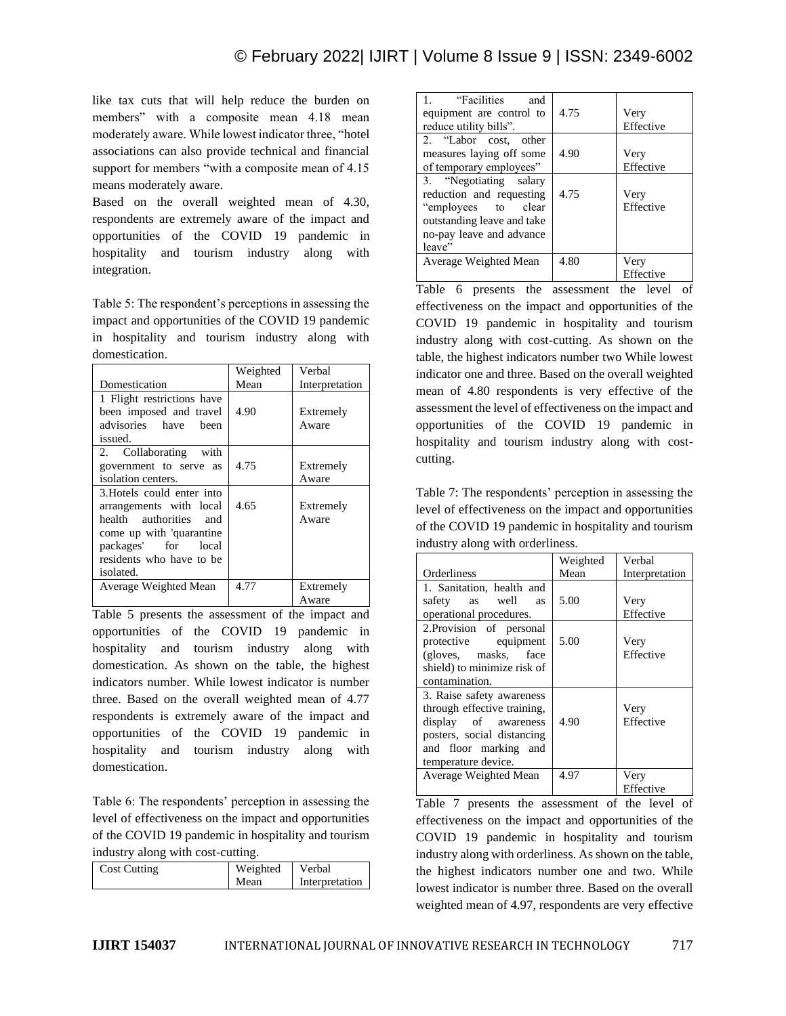like tax cuts that will help reduce the burden on members" with a composite mean 4.18 mean moderately aware. While lowest indicator three, "hotel associations can also provide technical and financial support for members "with a composite mean of 4.15 means moderately aware.

Based on the overall weighted mean of 4.30, respondents are extremely aware of the impact and opportunities of the COVID 19 pandemic in hospitality and tourism industry along with integration.

Table 5: The respondent's perceptions in assessing the impact and opportunities of the COVID 19 pandemic in hospitality and tourism industry along with domestication.

|                            | Weighted | Verbal         |
|----------------------------|----------|----------------|
| Domestication              | Mean     | Interpretation |
| 1 Flight restrictions have |          |                |
| been imposed and travel    | 4.90     | Extremely      |
| advisories have been       |          | Aware          |
| issued.                    |          |                |
| 2. Collaborating with      |          |                |
| government to serve as     | 4.75     | Extremely      |
| isolation centers.         |          | Aware          |
| 3. Hotels could enter into |          |                |
| arrangements with local    | 4.65     | Extremely      |
| health authorities<br>and  |          | Aware          |
| come up with 'quarantine   |          |                |
| packages' for local        |          |                |
| residents who have to be   |          |                |
| isolated.                  |          |                |
| Average Weighted Mean      | 4.77     | Extremely      |
|                            |          | Aware          |

Table 5 presents the assessment of the impact and opportunities of the COVID 19 pandemic in hospitality and tourism industry along with domestication. As shown on the table, the highest indicators number. While lowest indicator is number three. Based on the overall weighted mean of 4.77 respondents is extremely aware of the impact and opportunities of the COVID 19 pandemic in hospitality and tourism industry along with domestication.

Table 6: The respondents' perception in assessing the level of effectiveness on the impact and opportunities of the COVID 19 pandemic in hospitality and tourism industry along with cost-cutting.

| <b>Cost Cutting</b> | Weighted Verbal |                |
|---------------------|-----------------|----------------|
|                     | Mean            | Interpretation |
|                     |                 |                |

| 1.  Cracilities<br>and<br>equipment are control to<br>reduce utility bills".                                                                  | 4.75 | Very<br>Effective |
|-----------------------------------------------------------------------------------------------------------------------------------------------|------|-------------------|
| 2. "Labor cost, other<br>measures laying off some<br>of temporary employees"                                                                  | 4.90 | Very<br>Effective |
| 3. "Negotiating salary<br>reduction and requesting<br>"employees to clear<br>outstanding leave and take<br>no-pay leave and advance<br>leave" | 4.75 | Very<br>Effective |
| Average Weighted Mean                                                                                                                         | 4.80 | Very<br>Effective |

Table 6 presents the assessment the level of effectiveness on the impact and opportunities of the COVID 19 pandemic in hospitality and tourism industry along with cost-cutting. As shown on the table, the highest indicators number two While lowest indicator one and three. Based on the overall weighted mean of 4.80 respondents is very effective of the assessment the level of effectiveness on the impact and opportunities of the COVID 19 pandemic in hospitality and tourism industry along with costcutting.

Table 7: The respondents' perception in assessing the level of effectiveness on the impact and opportunities of the COVID 19 pandemic in hospitality and tourism industry along with orderliness.

|                                                                                                                                                                | Weighted | Verbal            |
|----------------------------------------------------------------------------------------------------------------------------------------------------------------|----------|-------------------|
| Orderliness                                                                                                                                                    | Mean     | Interpretation    |
| 1. Sanitation, health and<br>safety as well<br>as<br>operational procedures.                                                                                   | 5.00     | Very<br>Effective |
| 2. Provision of personal<br>protective equipment<br>(gloves, masks, face)<br>shield) to minimize risk of<br>contamination.                                     | 5.00     | Very<br>Effective |
| 3. Raise safety awareness<br>through effective training,<br>display of awareness<br>posters, social distancing<br>and floor marking and<br>temperature device. | 4.90     | Very<br>Effective |
| Average Weighted Mean                                                                                                                                          | 4.97     | Very<br>Effective |

Table 7 presents the assessment of the level of effectiveness on the impact and opportunities of the COVID 19 pandemic in hospitality and tourism industry along with orderliness. As shown on the table, the highest indicators number one and two. While lowest indicator is number three. Based on the overall weighted mean of 4.97, respondents are very effective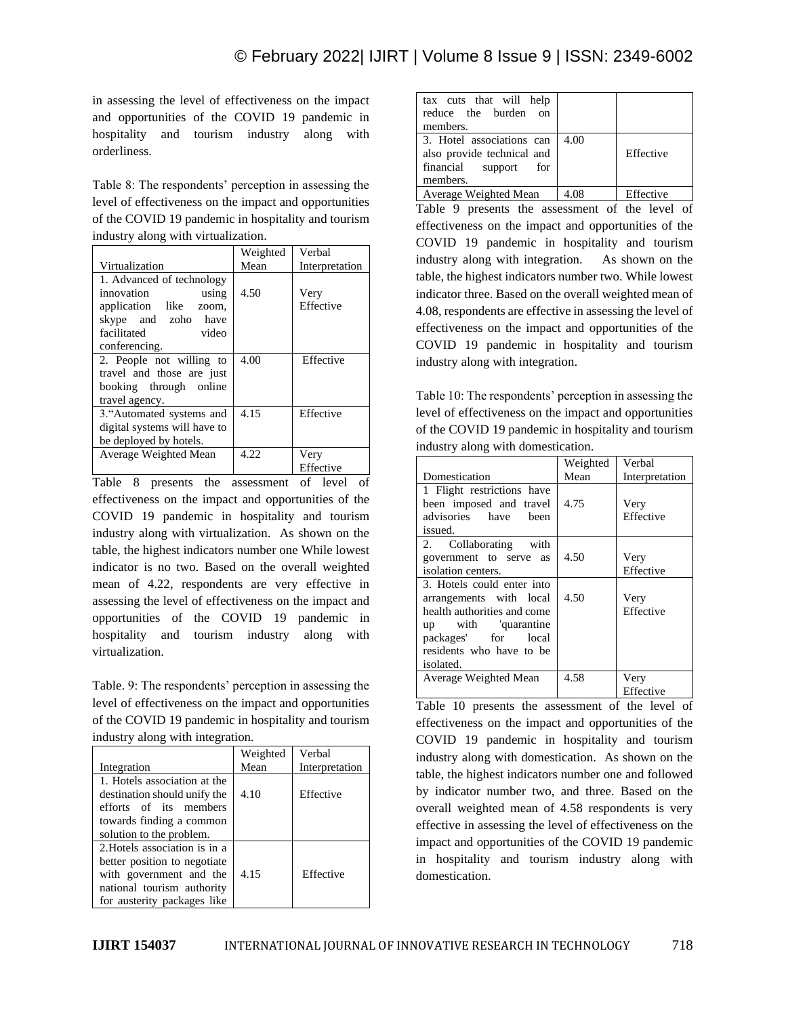in assessing the level of effectiveness on the impact and opportunities of the COVID 19 pandemic in hospitality and tourism industry along with orderliness.

Table 8: The respondents' perception in assessing the level of effectiveness on the impact and opportunities of the COVID 19 pandemic in hospitality and tourism industry along with virtualization.

|                                                                                                                                               | Weighted | Verbal            |
|-----------------------------------------------------------------------------------------------------------------------------------------------|----------|-------------------|
| Virtualization                                                                                                                                | Mean     | Interpretation    |
| 1. Advanced of technology<br>innovation<br>using<br>application like<br>zoom,<br>skype and zoho have<br>facilitated<br>video<br>conferencing. | 4.50     | Very<br>Effective |
| 2. People not willing to<br>travel and those are just<br>booking through online<br>travel agency.                                             | 4.00     | Effective         |
| 3."Automated systems and<br>digital systems will have to<br>be deployed by hotels.                                                            | 4.15     | Effective         |
| Average Weighted Mean                                                                                                                         | 4.22     | Very<br>Effective |

Table 8 presents the assessment of level of effectiveness on the impact and opportunities of the COVID 19 pandemic in hospitality and tourism industry along with virtualization. As shown on the table, the highest indicators number one While lowest indicator is no two. Based on the overall weighted mean of 4.22, respondents are very effective in assessing the level of effectiveness on the impact and opportunities of the COVID 19 pandemic in hospitality and tourism industry along with virtualization.

Table. 9: The respondents' perception in assessing the level of effectiveness on the impact and opportunities of the COVID 19 pandemic in hospitality and tourism industry along with integration.

|                                                                                                                                                       | Weighted | Verbal         |
|-------------------------------------------------------------------------------------------------------------------------------------------------------|----------|----------------|
| Integration                                                                                                                                           | Mean     | Interpretation |
| 1. Hotels association at the<br>destination should unify the<br>efforts of its members<br>towards finding a common                                    | 4.10     | Effective      |
| solution to the problem.                                                                                                                              |          |                |
| 2. Hotels association is in a<br>better position to negotiate<br>with government and the<br>national tourism authority<br>for austerity packages like | 4.15     | Effective      |

| tax cuts that will help<br>reduce the burden on<br>members.                                  |      |           |
|----------------------------------------------------------------------------------------------|------|-----------|
| 3. Hotel associations can<br>also provide technical and<br>financial support for<br>members. | 4.00 | Effective |
| Average Weighted Mean                                                                        | 4.08 | Effective |

Table 9 presents the assessment of the level of effectiveness on the impact and opportunities of the COVID 19 pandemic in hospitality and tourism industry along with integration. As shown on the table, the highest indicators number two. While lowest indicator three. Based on the overall weighted mean of 4.08, respondents are effective in assessing the level of effectiveness on the impact and opportunities of the COVID 19 pandemic in hospitality and tourism industry along with integration.

Table 10: The respondents' perception in assessing the level of effectiveness on the impact and opportunities of the COVID 19 pandemic in hospitality and tourism industry along with domestication.

|                             | Weighted | Verbal         |
|-----------------------------|----------|----------------|
| Domestication               | Mean     | Interpretation |
| 1 Flight restrictions have  |          |                |
| been imposed and travel     | 4.75     | Very           |
| advisories have been        |          | Effective      |
| issued.                     |          |                |
| 2. Collaborating with       |          |                |
| government to serve as      | 4.50     | Very           |
| isolation centers.          |          | Effective      |
| 3. Hotels could enter into  |          |                |
| arrangements with local     | 4.50     | Very           |
| health authorities and come |          | Effective      |
| up with 'quarantine         |          |                |
| packages' for local         |          |                |
| residents who have to be    |          |                |
| isolated.                   |          |                |
| Average Weighted Mean       | 4.58     | Very           |
|                             |          | Effective      |

Table 10 presents the assessment of the level of effectiveness on the impact and opportunities of the COVID 19 pandemic in hospitality and tourism industry along with domestication. As shown on the table, the highest indicators number one and followed by indicator number two, and three. Based on the overall weighted mean of 4.58 respondents is very effective in assessing the level of effectiveness on the impact and opportunities of the COVID 19 pandemic in hospitality and tourism industry along with domestication.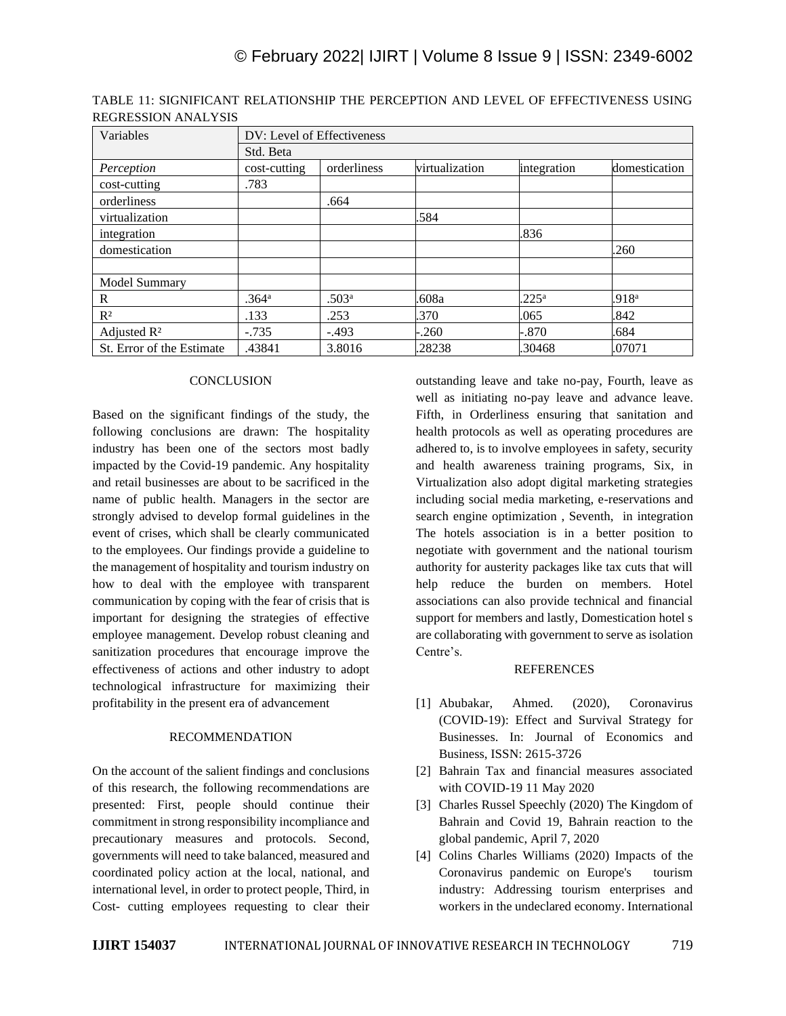| Variables                 | DV: Level of Effectiveness<br>Std. Beta |                   |                |                |                   |  |
|---------------------------|-----------------------------------------|-------------------|----------------|----------------|-------------------|--|
|                           |                                         |                   |                |                |                   |  |
| Perception                | cost-cutting                            | orderliness       | virtualization | integration    | domestication     |  |
| cost-cutting              | .783                                    |                   |                |                |                   |  |
| orderliness               |                                         | .664              |                |                |                   |  |
| virtualization            |                                         |                   | .584           |                |                   |  |
| integration               |                                         |                   |                | .836           |                   |  |
| domestication             |                                         |                   |                |                | .260              |  |
| Model Summary             |                                         |                   |                |                |                   |  |
| $\mathbb{R}$              | .364 <sup>a</sup>                       | .503 <sup>a</sup> | .608a          | $.225^{\rm a}$ | .918 <sup>a</sup> |  |
| $R^2$                     | .133                                    | .253              | .370           | .065           | .842              |  |
| Adjusted $\mathbb{R}^2$   | $-.735$                                 | $-.493$           | .260           | $-.870$        | .684              |  |
| St. Error of the Estimate | .43841                                  | 3.8016            | .28238         | .30468         | .07071            |  |

TABLE 11: SIGNIFICANT RELATIONSHIP THE PERCEPTION AND LEVEL OF EFFECTIVENESS USING REGRESSION ANALYSIS

## **CONCLUSION**

Based on the significant findings of the study, the following conclusions are drawn: The hospitality industry has been one of the sectors most badly impacted by the Covid-19 pandemic. Any hospitality and retail businesses are about to be sacrificed in the name of public health. Managers in the sector are strongly advised to develop formal guidelines in the event of crises, which shall be clearly communicated to the employees. Our findings provide a guideline to the management of hospitality and tourism industry on how to deal with the employee with transparent communication by coping with the fear of crisis that is important for designing the strategies of effective employee management. Develop robust cleaning and sanitization procedures that encourage improve the effectiveness of actions and other industry to adopt technological infrastructure for maximizing their profitability in the present era of advancement

## RECOMMENDATION

On the account of the salient findings and conclusions of this research, the following recommendations are presented: First, people should continue their commitment in strong responsibility incompliance and precautionary measures and protocols. Second, governments will need to take balanced, measured and coordinated policy action at the local, national, and international level, in order to protect people, Third, in Cost- cutting employees requesting to clear their

outstanding leave and take no-pay, Fourth, leave as well as initiating no-pay leave and advance leave. Fifth, in Orderliness ensuring that sanitation and health protocols as well as operating procedures are adhered to, is to involve employees in safety, security and health awareness training programs, Six, in Virtualization also adopt digital marketing strategies including social media marketing, e-reservations and search engine optimization , Seventh, in integration The hotels association is in a better position to negotiate with government and the national tourism authority for austerity packages like tax cuts that will help reduce the burden on members. Hotel associations can also provide technical and financial support for members and lastly, Domestication hotel s are collaborating with government to serve as isolation Centre's.

### **REFERENCES**

- [1] Abubakar, Ahmed. (2020), Coronavirus (COVID-19): Effect and Survival Strategy for Businesses. In: Journal of Economics and Business, ISSN: 2615-3726
- [2] Bahrain Tax and financial measures associated with COVID-19 11 May 2020
- [3] Charles Russel Speechly (2020) The Kingdom of Bahrain and Covid 19, Bahrain reaction to the global pandemic, April 7, 2020
- [4] Colins Charles Williams (2020) Impacts of the Coronavirus pandemic on Europe's tourism industry: Addressing tourism enterprises and workers in the undeclared economy. International